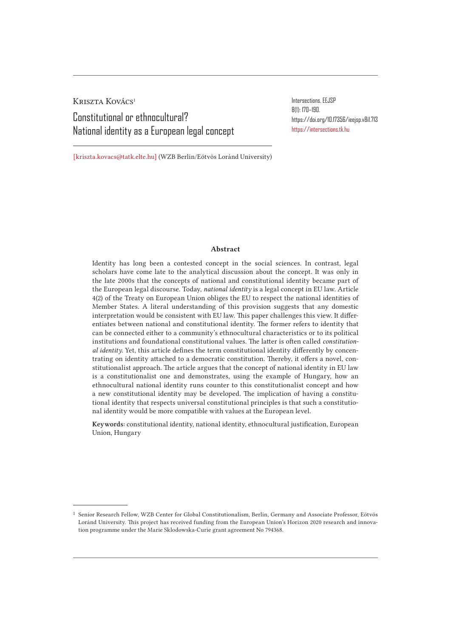Kriszta Kovács<sup>1</sup> Constitutional or ethnocultural? National identity as a European legal concept Intersections. EEJSP 8(1): 170–190. https://doi.org/10.17356/ieejsp.v8i1.713 https://intersections.tk.hu

[kriszta.kovacs@tatk.elte.hu] (WZB Berlin/Eötvös Loránd University)

#### Abstract

Identity has long been a contested concept in the social sciences. In contrast, legal scholars have come late to the analytical discussion about the concept. It was only in the late 2000s that the concepts of national and constitutional identity became part of the European legal discourse. Today, *national identity* is a legal concept in EU law. Article 4(2) of the Treaty on European Union obliges the EU to respect the national identities of Member States. A literal understanding of this provision suggests that any domestic interpretation would be consistent with EU law. This paper challenges this view. It differentiates between national and constitutional identity. The former refers to identity that can be connected either to a community's ethnocultural characteristics or to its political institutions and foundational constitutional values. The latter is often called *constitutional identity*. Yet, this article defines the term constitutional identity differently by concentrating on identity attached to a democratic constitution. Thereby, it offers a novel, constitutionalist approach. The article argues that the concept of national identity in EU law is a constitutionalist one and demonstrates, using the example of Hungary, how an ethnocultural national identity runs counter to this constitutionalist concept and how a new constitutional identity may be developed. The implication of having a constitutional identity that respects universal constitutional principles is that such a constitutional identity would be more compatible with values at the European level.

Keywords: constitutional identity, national identity, ethnocultural justification, European Union, Hungary

<sup>1</sup> Senior Research Fellow, WZB Center for Global Constitutionalism, Berlin, Germany and Associate Professor, Eötvös Loránd University. This project has received funding from the European Union's Horizon 2020 research and innovation programme under the Marie Sklodowska-Curie grant agreement No 794368.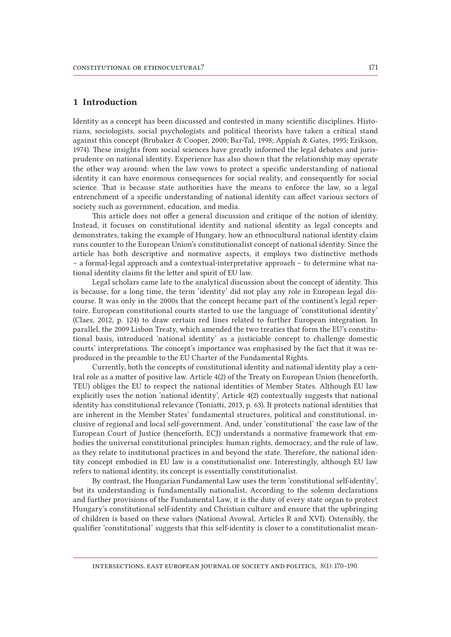### 1 Introduction

Identity as a concept has been discussed and contested in many scientific disciplines. Historians, sociologists, social psychologists and political theorists have taken a critical stand against this concept (Brubaker & Cooper, 2000; Bar-Tal, 1998; Appiah & Gates, 1995; Erikson, 1974). These insights from social sciences have greatly informed the legal debates and jurisprudence on national identity. Experience has also shown that the relationship may operate the other way around: when the law vows to protect a specific understanding of national identity it can have enormous consequences for social reality, and consequently for social science. That is because state authorities have the means to enforce the law, so a legal entrenchment of a specific understanding of national identity can affect various sectors of society such as government, education, and media.

This article does not offer a general discussion and critique of the notion of identity. Instead, it focuses on constitutional identity and national identity as legal concepts and demonstrates, taking the example of Hungary, how an ethnocultural national identity claim runs counter to the European Union's constitutionalist concept of national identity. Since the article has both descriptive and normative aspects, it employs two distinctive methods – a formal-legal approach and a contextual-interpretative approach – to determine what national identity claims fit the letter and spirit of EU law.

Legal scholars came late to the analytical discussion about the concept of identity. This is because, for a long time, the term 'identity' did not play any role in European legal discourse. It was only in the 2000s that the concept became part of the continent's legal repertoire. European constitutional courts started to use the language of 'constitutional identity' (Claes, 2012, p. 124) to draw certain red lines related to further European integration. In parallel, the 2009 Lisbon Treaty, which amended the two treaties that form the EU's constitutional basis, introduced 'national identity' as a justiciable concept to challenge domestic courts' interpretations. The concept's importance was emphasised by the fact that it was reproduced in the preamble to the EU Charter of the Fundamental Rights.

Currently, both the concepts of constitutional identity and national identity play a central role as a matter of positive law. Article 4(2) of the Treaty on European Union (henceforth, TEU) obliges the EU to respect the national identities of Member States. Although EU law explicitly uses the notion 'national identity', Article 4(2) contextually suggests that national identity has constitutional relevance (Toniatti, 2013, p. 63). It protects national identities that are inherent in the Member States' fundamental structures, political and constitutional, inclusive of regional and local self-government. And, under 'constitutional' the case law of the European Court of Justice (henceforth, ECJ) understands a normative framework that embodies the universal constitutional principles: human rights, democracy, and the rule of law, as they relate to institutional practices in and beyond the state. Therefore, the national identity concept embodied in EU law is a constitutionalist one. Interestingly, although EU law refers to national identity, its concept is essentially constitutionalist.

By contrast, the Hungarian Fundamental Law uses the term 'constitutional self-identity', but its understanding is fundamentally nationalist. According to the solemn declarations and further provisions of the Fundamental Law, it is the duty of every state organ to protect Hungary's constitutional self-identity and Christian culture and ensure that the upbringing of children is based on these values (National Avowal, Articles R and XVI). Ostensibly, the qualifier 'constitutional' suggests that this self-identity is closer to a constitutionalist mean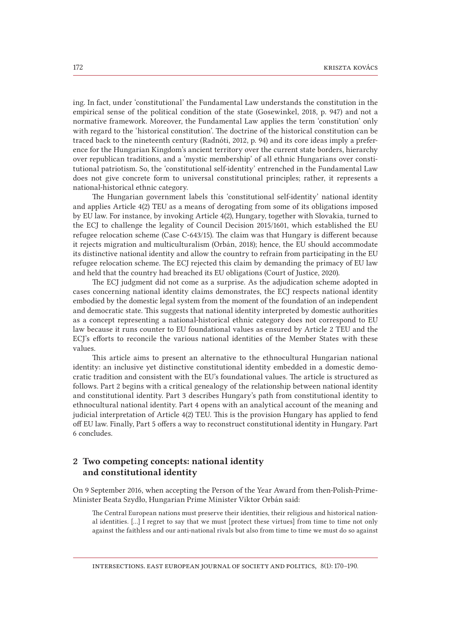ing. In fact, under 'constitutional' the Fundamental Law understands the constitution in the empirical sense of the political condition of the state (Gosewinkel, 2018, p. 947) and not a normative framework. Moreover, the Fundamental Law applies the term 'constitution' only with regard to the 'historical constitution'. The doctrine of the historical constitution can be traced back to the nineteenth century (Radnóti, 2012, p. 94) and its core ideas imply a preference for the Hungarian Kingdom's ancient territory over the current state borders, hierarchy over republican traditions, and a 'mystic membership' of all ethnic Hungarians over constitutional patriotism. So, the 'constitutional self-identity' entrenched in the Fundamental Law does not give concrete form to universal constitutional principles; rather, it represents a national-historical ethnic category.

The Hungarian government labels this 'constitutional self-identity' national identity and applies Article 4(2) TEU as a means of derogating from some of its obligations imposed by EU law. For instance, by invoking Article 4(2), Hungary, together with Slovakia, turned to the ECJ to challenge the legality of Council Decision 2015/1601, which established the EU refugee relocation scheme (Case C-643/15). The claim was that Hungary is different because it rejects migration and multiculturalism (Orbán, 2018); hence, the EU should accommodate its distinctive national identity and allow the country to refrain from participating in the EU refugee relocation scheme. The ECJ rejected this claim by demanding the primacy of EU law and held that the country had breached its EU obligations (Court of Justice, 2020).

The ECJ judgment did not come as a surprise. As the adjudication scheme adopted in cases concerning national identity claims demonstrates, the ECJ respects national identity embodied by the domestic legal system from the moment of the foundation of an independent and democratic state. This suggests that national identity interpreted by domestic authorities as a concept representing a national-historical ethnic category does not correspond to EU law because it runs counter to EU foundational values as ensured by Article 2 TEU and the ECJ's efforts to reconcile the various national identities of the Member States with these values.

This article aims to present an alternative to the ethnocultural Hungarian national identity: an inclusive yet distinctive constitutional identity embedded in a domestic democratic tradition and consistent with the EU's foundational values. The article is structured as follows. Part 2 begins with a critical genealogy of the relationship between national identity and constitutional identity. Part 3 describes Hungary's path from constitutional identity to ethnocultural national identity. Part 4 opens with an analytical account of the meaning and judicial interpretation of Article 4(2) TEU. This is the provision Hungary has applied to fend off EU law. Finally, Part 5 offers a way to reconstruct constitutional identity in Hungary. Part 6 concludes.

# 2 Two competing concepts: national identity and constitutional identity

On 9 September 2016, when accepting the Person of the Year Award from then-Polish-Prime-Minister Beata Szydło, Hungarian Prime Minister Viktor Orbán said:

The Central European nations must preserve their identities, their religious and historical national identities. [...] I regret to say that we must [protect these virtues] from time to time not only against the faithless and our anti-national rivals but also from time to time we must do so against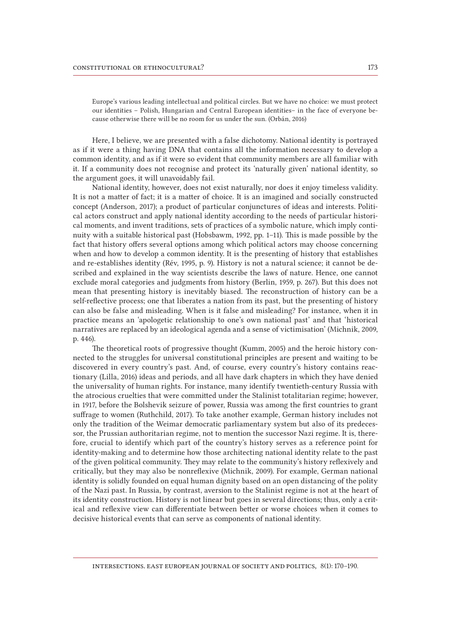Europe's various leading intellectual and political circles. But we have no choice: we must protect our identities – Polish, Hungarian and Central European identities– in the face of everyone because otherwise there will be no room for us under the sun. (Orbán, 2016)

Here, I believe, we are presented with a false dichotomy. National identity is portrayed as if it were a thing having DNA that contains all the information necessary to develop a common identity, and as if it were so evident that community members are all familiar with it. If a community does not recognise and protect its 'naturally given' national identity, so the argument goes, it will unavoidably fail.

National identity, however, does not exist naturally, nor does it enjoy timeless validity. It is not a matter of fact; it is a matter of choice. It is an imagined and socially constructed concept (Anderson, 2017); a product of particular conjunctures of ideas and interests. Political actors construct and apply national identity according to the needs of particular historical moments, and invent traditions, sets of practices of a symbolic nature, which imply continuity with a suitable historical past (Hobsbawm, 1992, pp. 1–11). This is made possible by the fact that history offers several options among which political actors may choose concerning when and how to develop a common identity. It is the presenting of history that establishes and re-establishes identity (Rév, 1995, p. 9). History is not a natural science; it cannot be described and explained in the way scientists describe the laws of nature. Hence, one cannot exclude moral categories and judgments from history (Berlin, 1959, p. 267). But this does not mean that presenting history is inevitably biased. The reconstruction of history can be a self-reflective process; one that liberates a nation from its past, but the presenting of history can also be false and misleading. When is it false and misleading? For instance, when it in practice means an 'apologetic relationship to one's own national past' and that 'historical narratives are replaced by an ideological agenda and a sense of victimisation' (Michnik, 2009, p. 446).

The theoretical roots of progressive thought (Kumm, 2005) and the heroic history connected to the struggles for universal constitutional principles are present and waiting to be discovered in every country's past. And, of course, every country's history contains reactionary (Lilla, 2016) ideas and periods, and all have dark chapters in which they have denied the universality of human rights. For instance, many identify twentieth-century Russia with the atrocious cruelties that were committed under the Stalinist totalitarian regime; however, in 1917, before the Bolshevik seizure of power, Russia was among the first countries to grant suffrage to women (Ruthchild, 2017). To take another example, German history includes not only the tradition of the Weimar democratic parliamentary system but also of its predecessor, the Prussian authoritarian regime, not to mention the successor Nazi regime. It is, therefore, crucial to identify which part of the country's history serves as a reference point for identity-making and to determine how those architecting national identity relate to the past of the given political community. They may relate to the community's history reflexively and critically, but they may also be nonreflexive (Michnik, 2009). For example, German national identity is solidly founded on equal human dignity based on an open distancing of the polity of the Nazi past. In Russia, by contrast, aversion to the Stalinist regime is not at the heart of its identity construction. History is not linear but goes in several directions; thus, only a critical and reflexive view can differentiate between better or worse choices when it comes to decisive historical events that can serve as components of national identity.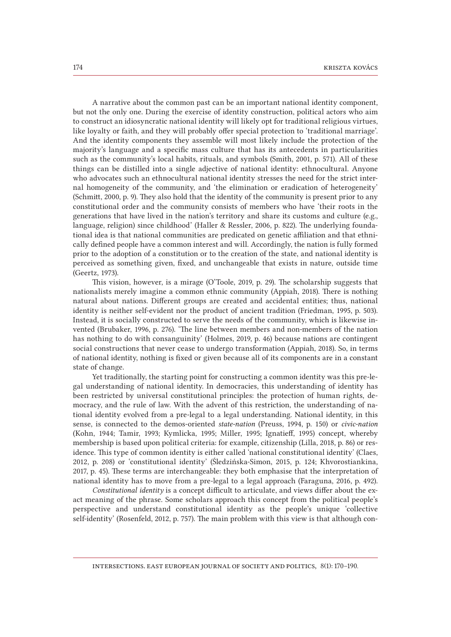A narrative about the common past can be an important national identity component, but not the only one. During the exercise of identity construction, political actors who aim to construct an idiosyncratic national identity will likely opt for traditional religious virtues, like loyalty or faith, and they will probably offer special protection to 'traditional marriage'. And the identity components they assemble will most likely include the protection of the majority's language and a specific mass culture that has its antecedents in particularities such as the community's local habits, rituals, and symbols (Smith, 2001, p. 571). All of these things can be distilled into a single adjective of national identity: ethnocultural. Anyone who advocates such an ethnocultural national identity stresses the need for the strict internal homogeneity of the community, and 'the elimination or eradication of heterogeneity' (Schmitt, 2000, p. 9). They also hold that the identity of the community is present prior to any constitutional order and the community consists of members who have 'their roots in the generations that have lived in the nation's territory and share its customs and culture (e.g., language, religion) since childhood' (Haller & Ressler, 2006, p. 822). The underlying foundational idea is that national communities are predicated on genetic affiliation and that ethnically defined people have a common interest and will. Accordingly, the nation is fully formed prior to the adoption of a constitution or to the creation of the state, and national identity is perceived as something given, fixed, and unchangeable that exists in nature, outside time (Geertz, 1973).

This vision, however, is a mirage (O'Toole, 2019, p. 29). The scholarship suggests that nationalists merely imagine a common ethnic community (Appiah, 2018). There is nothing natural about nations. Different groups are created and accidental entities; thus, national identity is neither self-evident nor the product of ancient tradition (Friedman, 1995, p. 503). Instead, it is socially constructed to serve the needs of the community, which is likewise invented (Brubaker, 1996, p. 276). 'The line between members and non-members of the nation has nothing to do with consanguinity' (Holmes, 2019, p. 46) because nations are contingent social constructions that never cease to undergo transformation (Appiah, 2018). So, in terms of national identity, nothing is fixed or given because all of its components are in a constant state of change.

Yet traditionally, the starting point for constructing a common identity was this pre-legal understanding of national identity. In democracies, this understanding of identity has been restricted by universal constitutional principles: the protection of human rights, democracy, and the rule of law. With the advent of this restriction, the understanding of national identity evolved from a pre-legal to a legal understanding. National identity, in this sense, is connected to the demos-oriented *state-nation* (Preuss, 1994, p. 150) or *civic-nation*  (Kohn, 1944; Tamir, 1993; Kymlicka, 1995; Miller, 1995; Ignatieff, 1995) concept, whereby membership is based upon political criteria: for example, citizenship (Lilla, 2018, p. 86) or residence. This type of common identity is either called 'national constitutional identity' (Claes, 2012, p. 208) or 'constitutional identity' (Śledzińska-Simon, 2015, p. 124; Khvorostiankina, 2017, p. 45). These terms are interchangeable: they both emphasise that the interpretation of national identity has to move from a pre-legal to a legal approach (Faraguna, 2016, p. 492).

*Constitutional identity* is a concept difficult to articulate, and views differ about the exact meaning of the phrase. Some scholars approach this concept from the political people's perspective and understand constitutional identity as the people's unique 'collective self-identity' (Rosenfeld, 2012, p. 757). The main problem with this view is that although con-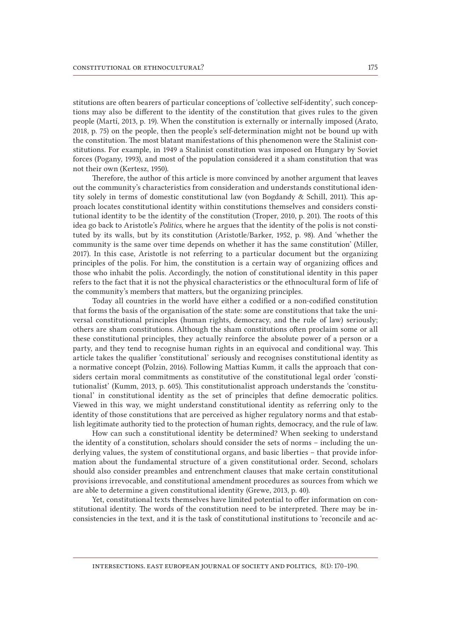stitutions are often bearers of particular conceptions of 'collective self-identity', such conceptions may also be different to the identity of the constitution that gives rules to the given people (Martí, 2013, p. 19). When the constitution is externally or internally imposed (Arato, 2018, p. 75) on the people, then the people's self-determination might not be bound up with the constitution. The most blatant manifestations of this phenomenon were the Stalinist constitutions. For example, in 1949 a Stalinist constitution was imposed on Hungary by Soviet forces (Pogany, 1993), and most of the population considered it a sham constitution that was not their own (Kertesz, 1950).

Therefore, the author of this article is more convinced by another argument that leaves out the community's characteristics from consideration and understands constitutional identity solely in terms of domestic constitutional law (von Bogdandy & Schill, 2011). This approach locates constitutional identity within constitutions themselves and considers constitutional identity to be the identity of the constitution (Troper, 2010, p. 201). The roots of this idea go back to Aristotle's *Politics*, where he argues that the identity of the polis is not constituted by its walls, but by its constitution (Aristotle/Barker, 1952, p. 98). And 'whether the community is the same over time depends on whether it has the same constitution' (Miller, 2017). In this case, Aristotle is not referring to a particular document but the organizing principles of the polis. For him, the constitution is a certain way of organizing offices and those who inhabit the polis. Accordingly, the notion of constitutional identity in this paper refers to the fact that it is not the physical characteristics or the ethnocultural form of life of the community's members that matters, but the organizing principles.

Today all countries in the world have either a codified or a non-codified constitution that forms the basis of the organisation of the state: some are constitutions that take the universal constitutional principles (human rights, democracy, and the rule of law) seriously; others are sham constitutions. Although the sham constitutions often proclaim some or all these constitutional principles, they actually reinforce the absolute power of a person or a party, and they tend to recognise human rights in an equivocal and conditional way. This article takes the qualifier 'constitutional' seriously and recognises constitutional identity as a normative concept (Polzin, 2016). Following Mattias Kumm, it calls the approach that considers certain moral commitments as constitutive of the constitutional legal order 'constitutionalist' (Kumm, 2013, p. 605). This constitutionalist approach understands the 'constitutional' in constitutional identity as the set of principles that define democratic politics. Viewed in this way, we might understand constitutional identity as referring only to the identity of those constitutions that are perceived as higher regulatory norms and that establish legitimate authority tied to the protection of human rights, democracy, and the rule of law.

How can such a constitutional identity be determined? When seeking to understand the identity of a constitution, scholars should consider the sets of norms – including the underlying values, the system of constitutional organs, and basic liberties – that provide information about the fundamental structure of a given constitutional order. Second, scholars should also consider preambles and entrenchment clauses that make certain constitutional provisions irrevocable, and constitutional amendment procedures as sources from which we are able to determine a given constitutional identity (Grewe, 2013, p. 40).

Yet, constitutional texts themselves have limited potential to offer information on constitutional identity. The words of the constitution need to be interpreted. There may be inconsistencies in the text, and it is the task of constitutional institutions to 'reconcile and ac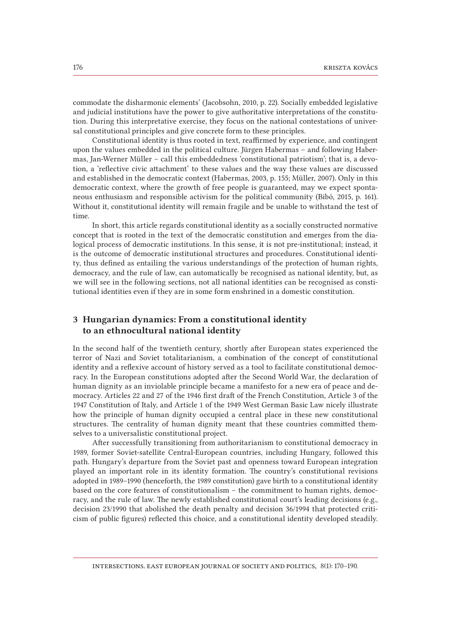commodate the disharmonic elements' (Jacobsohn, 2010, p. 22). Socially embedded legislative and judicial institutions have the power to give authoritative interpretations of the constitution. During this interpretative exercise, they focus on the national contestations of universal constitutional principles and give concrete form to these principles.

Constitutional identity is thus rooted in text, reaffirmed by experience, and contingent upon the values embedded in the political culture. Jürgen Habermas – and following Habermas, Jan-Werner Müller – call this embeddedness 'constitutional patriotism'; that is, a devotion, a 'reflective civic attachment' to these values and the way these values are discussed and established in the democratic context (Habermas, 2003, p. 155; Müller, 2007). Only in this democratic context, where the growth of free people is guaranteed, may we expect spontaneous enthusiasm and responsible activism for the political community (Bibó, 2015, p. 161). Without it, constitutional identity will remain fragile and be unable to withstand the test of time.

In short, this article regards constitutional identity as a socially constructed normative concept that is rooted in the text of the democratic constitution and emerges from the dialogical process of democratic institutions. In this sense, it is not pre-institutional; instead, it is the outcome of democratic institutional structures and procedures. Constitutional identity, thus defined as entailing the various understandings of the protection of human rights, democracy, and the rule of law, can automatically be recognised as national identity, but, as we will see in the following sections, not all national identities can be recognised as constitutional identities even if they are in some form enshrined in a domestic constitution.

# 3 Hungarian dynamics: From a constitutional identity to an ethnocultural national identity

In the second half of the twentieth century, shortly after European states experienced the terror of Nazi and Soviet totalitarianism, a combination of the concept of constitutional identity and a reflexive account of history served as a tool to facilitate constitutional democracy. In the European constitutions adopted after the Second World War, the declaration of human dignity as an inviolable principle became a manifesto for a new era of peace and democracy. Articles 22 and 27 of the 1946 first draft of the French Constitution, Article 3 of the 1947 Constitution of Italy, and Article 1 of the 1949 West German Basic Law nicely illustrate how the principle of human dignity occupied a central place in these new constitutional structures. The centrality of human dignity meant that these countries committed themselves to a universalistic constitutional project.

After successfully transitioning from authoritarianism to constitutional democracy in 1989, former Soviet-satellite Central-European countries, including Hungary, followed this path. Hungary's departure from the Soviet past and openness toward European integration played an important role in its identity formation. The country's constitutional revisions adopted in 1989–1990 (henceforth, the 1989 constitution) gave birth to a constitutional identity based on the core features of constitutionalism – the commitment to human rights, democracy, and the rule of law. The newly established constitutional court's leading decisions (e.g., decision 23/1990 that abolished the death penalty and decision 36/1994 that protected criticism of public figures) reflected this choice, and a constitutional identity developed steadily.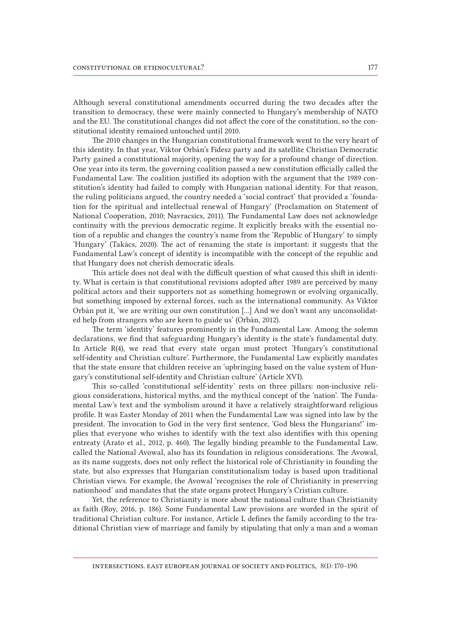Although several constitutional amendments occurred during the two decades after the transition to democracy, these were mainly connected to Hungary's membership of NATO and the EU. The constitutional changes did not affect the core of the constitution, so the constitutional identity remained untouched until 2010.

The 2010 changes in the Hungarian constitutional framework went to the very heart of this identity. In that year, Viktor Orbán's Fidesz party and its satellite Christian Democratic Party gained a constitutional majority, opening the way for a profound change of direction. One year into its term, the governing coalition passed a new constitution officially called the Fundamental Law. The coalition justified its adoption with the argument that the 1989 constitution's identity had failed to comply with Hungarian national identity. For that reason, the ruling politicians argued, the country needed a 'social contract' that provided a 'foundation for the spiritual and intellectual renewal of Hungary' (Proclamation on Statement of National Cooperation, 2010; Navracsics, 2011). The Fundamental Law does not acknowledge continuity with the previous democratic regime. It explicitly breaks with the essential notion of a republic and changes the country's name from the 'Republic of Hungary' to simply 'Hungary' (Takács, 2020). The act of renaming the state is important: it suggests that the Fundamental Law's concept of identity is incompatible with the concept of the republic and that Hungary does not cherish democratic ideals.

This article does not deal with the difficult question of what caused this shift in identity. What is certain is that constitutional revisions adopted after 1989 are perceived by many political actors and their supporters not as something homegrown or evolving organically, but something imposed by external forces, such as the international community. As Viktor Orbán put it, 'we are writing our own constitution […] And we don't want any unconsolidated help from strangers who are keen to guide us' (Orbán, 2012).

The term 'identity' features prominently in the Fundamental Law. Among the solemn declarations, we find that safeguarding Hungary's identity is the state's fundamental duty. In Article R(4), we read that every state organ must protect 'Hungary's constitutional self-identity and Christian culture'. Furthermore, the Fundamental Law explicitly mandates that the state ensure that children receive an 'upbringing based on the value system of Hungary's constitutional self-identity and Christian culture' (Article XVI).

This so-called 'constitutional self-identity' rests on three pillars: non-inclusive religious considerations, historical myths, and the mythical concept of the 'nation'. The Fundamental Law's text and the symbolism around it have a relatively straightforward religious profile. It was Easter Monday of 2011 when the Fundamental Law was signed into law by the president. The invocation to God in the very first sentence, 'God bless the Hungarians!' implies that everyone who wishes to identify with the text also identifies with this opening entreaty (Arato et al., 2012, p. 460). The legally binding preamble to the Fundamental Law, called the National Avowal, also has its foundation in religious considerations. The Avowal, as its name suggests, does not only reflect the historical role of Christianity in founding the state, but also expresses that Hungarian constitutionalism today is based upon traditional Christian views. For example, the Avowal 'recognises the role of Christianity in preserving nationhood' and mandates that the state organs protect Hungary's Cristian culture.

Yet, the reference to Christianity is more about the national culture than Christianity as faith (Roy, 2016, p. 186). Some Fundamental Law provisions are worded in the spirit of traditional Christian culture. For instance, Article L defines the family according to the traditional Christian view of marriage and family by stipulating that only a man and a woman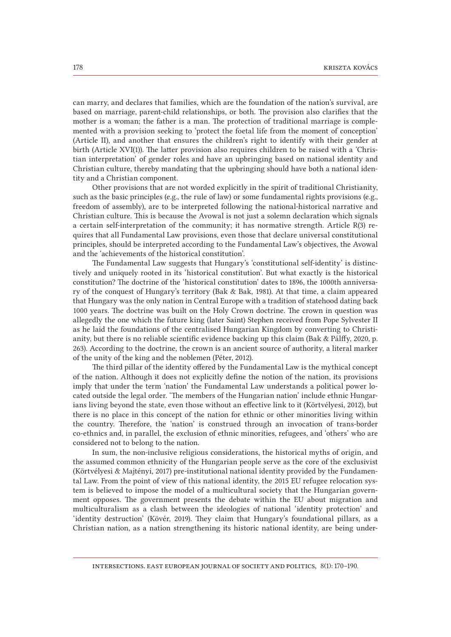can marry, and declares that families, which are the foundation of the nation's survival, are based on marriage, parent-child relationships, or both. The provision also clarifies that the mother is a woman; the father is a man. The protection of traditional marriage is complemented with a provision seeking to 'protect the foetal life from the moment of conception' (Article II), and another that ensures the children's right to identify with their gender at birth (Article XVI(1)). The latter provision also requires children to be raised with a 'Christian interpretation' of gender roles and have an upbringing based on national identity and Christian culture, thereby mandating that the upbringing should have both a national identity and a Christian component.

Other provisions that are not worded explicitly in the spirit of traditional Christianity, such as the basic principles (e.g., the rule of law) or some fundamental rights provisions (e.g., freedom of assembly), are to be interpreted following the national-historical narrative and Christian culture. This is because the Avowal is not just a solemn declaration which signals a certain self-interpretation of the community; it has normative strength. Article  $R(3)$  requires that all Fundamental Law provisions, even those that declare universal constitutional principles, should be interpreted according to the Fundamental Law's objectives, the Avowal and the 'achievements of the historical constitution'.

The Fundamental Law suggests that Hungary's 'constitutional self-identity' is distinctively and uniquely rooted in its 'historical constitution'. But what exactly is the historical constitution? The doctrine of the 'historical constitution' dates to 1896, the 1000th anniversary of the conquest of Hungary's territory (Bak & Bak, 1981). At that time, a claim appeared that Hungary was the only nation in Central Europe with a tradition of statehood dating back 1000 years. The doctrine was built on the Holy Crown doctrine. The crown in question was allegedly the one which the future king (later Saint) Stephen received from Pope Sylvester II as he laid the foundations of the centralised Hungarian Kingdom by converting to Christianity, but there is no reliable scientific evidence backing up this claim (Bak & Pálffy, 2020, p. 263). According to the doctrine, the crown is an ancient source of authority, a literal marker of the unity of the king and the noblemen (Péter, 2012).

The third pillar of the identity offered by the Fundamental Law is the mythical concept of the nation. Although it does not explicitly define the notion of the nation, its provisions imply that under the term 'nation' the Fundamental Law understands a political power located outside the legal order. 'The members of the Hungarian nation' include ethnic Hungarians living beyond the state, even those without an effective link to it (Körtvélyesi, 2012), but there is no place in this concept of the nation for ethnic or other minorities living within the country. Therefore, the 'nation' is construed through an invocation of trans-border co-ethnics and, in parallel, the exclusion of ethnic minorities, refugees, and 'others' who are considered not to belong to the nation.

In sum, the non-inclusive religious considerations, the historical myths of origin, and the assumed common ethnicity of the Hungarian people serve as the core of the exclusivist (Körtvélyesi & Majtényi, 2017) pre-institutional national identity provided by the Fundamental Law. From the point of view of this national identity, the 2015 EU refugee relocation system is believed to impose the model of a multicultural society that the Hungarian government opposes. The government presents the debate within the EU about migration and multiculturalism as a clash between the ideologies of national 'identity protection' and 'identity destruction' (Kövér, 2019). They claim that Hungary's foundational pillars, as a Christian nation, as a nation strengthening its historic national identity, are being under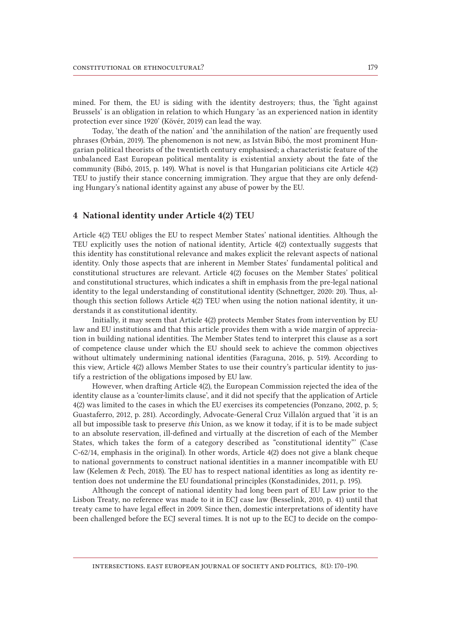mined. For them, the EU is siding with the identity destroyers; thus, the 'fight against Brussels' is an obligation in relation to which Hungary 'as an experienced nation in identity protection ever since 1920' (Kövér, 2019) can lead the way.

Today, 'the death of the nation' and 'the annihilation of the nation' are frequently used phrases (Orbán, 2019). The phenomenon is not new, as István Bibó, the most prominent Hungarian political theorists of the twentieth century emphasised; a characteristic feature of the unbalanced East European political mentality is existential anxiety about the fate of the community (Bibó, 2015, p. 149). What is novel is that Hungarian politicians cite Article 4(2) TEU to justify their stance concerning immigration. They argue that they are only defending Hungary's national identity against any abuse of power by the EU.

### 4 National identity under Article 4(2) TEU

Article 4(2) TEU obliges the EU to respect Member States' national identities. Although the TEU explicitly uses the notion of national identity, Article 4(2) contextually suggests that this identity has constitutional relevance and makes explicit the relevant aspects of national identity. Only those aspects that are inherent in Member States' fundamental political and constitutional structures are relevant. Article 4(2) focuses on the Member States' political and constitutional structures, which indicates a shift in emphasis from the pre-legal national identity to the legal understanding of constitutional identity (Schnettger, 2020: 20). Thus, although this section follows Article 4(2) TEU when using the notion national identity, it understands it as constitutional identity.

Initially, it may seem that Article 4(2) protects Member States from intervention by EU law and EU institutions and that this article provides them with a wide margin of appreciation in building national identities. The Member States tend to interpret this clause as a sort of competence clause under which the EU should seek to achieve the common objectives without ultimately undermining national identities (Faraguna, 2016, p. 519). According to this view, Article 4(2) allows Member States to use their country's particular identity to justify a restriction of the obligations imposed by EU law.

However, when drafting Article 4(2), the European Commission rejected the idea of the identity clause as a 'counter-limits clause', and it did not specify that the application of Article 4(2) was limited to the cases in which the EU exercises its competencies (Ponzano, 2002, p. 5; Guastaferro, 2012, p. 281). Accordingly, Advocate-General Cruz Villalón argued that 'it is an all but impossible task to preserve *this* Union, as we know it today, if it is to be made subject to an absolute reservation, ill-defined and virtually at the discretion of each of the Member States, which takes the form of a category described as "constitutional identity"' (Case C-62/14, emphasis in the original). In other words, Article 4(2) does not give a blank cheque to national governments to construct national identities in a manner incompatible with EU law (Kelemen & Pech, 2018). The EU has to respect national identities as long as identity retention does not undermine the EU foundational principles (Konstadinides, 2011, p. 195).

Although the concept of national identity had long been part of EU Law prior to the Lisbon Treaty, no reference was made to it in ECJ case law (Besselink, 2010, p. 41) until that treaty came to have legal effect in 2009. Since then, domestic interpretations of identity have been challenged before the ECJ several times. It is not up to the ECJ to decide on the compo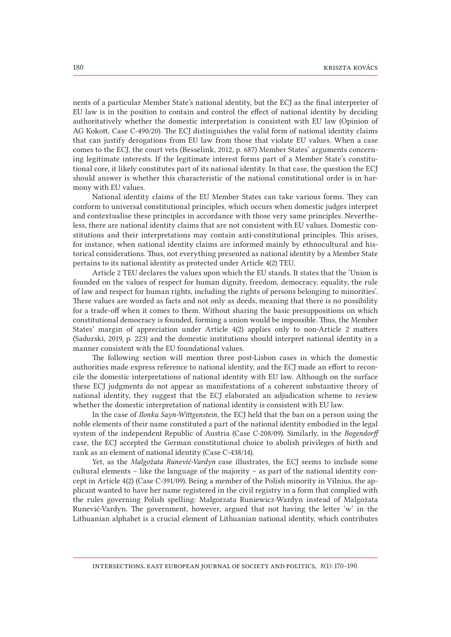nents of a particular Member State's national identity, but the ECJ as the final interpreter of EU law is in the position to contain and control the effect of national identity by deciding authoritatively whether the domestic interpretation is consistent with EU law (Opinion of AG Kokott, Case C-490/20). The ECJ distinguishes the valid form of national identity claims that can justify derogations from EU law from those that violate EU values. When a case comes to the ECJ, the court vets (Besselink, 2012, p. 687) Member States' arguments concerning legitimate interests. If the legitimate interest forms part of a Member State's constitutional core, it likely constitutes part of its national identity. In that case, the question the ECJ should answer is whether this characteristic of the national constitutional order is in harmony with EU values.

National identity claims of the EU Member States can take various forms. They can conform to universal constitutional principles, which occurs when domestic judges interpret and contextualise these principles in accordance with those very same principles. Nevertheless, there are national identity claims that are not consistent with EU values. Domestic constitutions and their interpretations may contain anti-constitutional principles. This arises, for instance, when national identity claims are informed mainly by ethnocultural and historical considerations. Thus, not everything presented as national identity by a Member State pertains to its national identity as protected under Article 4(2) TEU.

Article 2 TEU declares the values upon which the EU stands. It states that the 'Union is founded on the values of respect for human dignity, freedom, democracy, equality, the rule of law and respect for human rights, including the rights of persons belonging to minorities'. These values are worded as facts and not only as deeds, meaning that there is no possibility for a trade-off when it comes to them. Without sharing the basic presuppositions on which constitutional democracy is founded, forming a union would be impossible. Thus, the Member States' margin of appreciation under Article 4(2) applies only to non-Article 2 matters (Sadurski, 2019, p. 223) and the domestic institutions should interpret national identity in a manner consistent with the EU foundational values.

The following section will mention three post-Lisbon cases in which the domestic authorities made express reference to national identity, and the ECJ made an effort to reconcile the domestic interpretations of national identity with EU law. Although on the surface these ECJ judgments do not appear as manifestations of a coherent substantive theory of national identity, they suggest that the ECJ elaborated an adjudication scheme to review whether the domestic interpretation of national identity is consistent with EU law.

In the case of *Ilonka Sayn-Wittgenstein*, the ECJ held that the ban on a person using the noble elements of their name constituted a part of the national identity embodied in the legal system of the independent Republic of Austria (Case C-208/09). Similarly, in the *Bogendorff* case, the ECJ accepted the German constitutional choice to abolish privileges of birth and rank as an element of national identity (Case C-438/14).

Yet, as the *Malgožata Runević-Vardyn* case illustrates, the ECJ seems to include some cultural elements – like the language of the majority – as part of the national identity concept in Article 4(2) (Case C-391/09). Being a member of the Polish minority in Vilnius, the applicant wanted to have her name registered in the civil registry in a form that complied with the rules governing Polish spelling: Małgorzata Runiewicz-Wardyn instead of Malgožata Runević-Vardyn. The government, however, argued that not having the letter 'w' in the Lithuanian alphabet is a crucial element of Lithuanian national identity, which contributes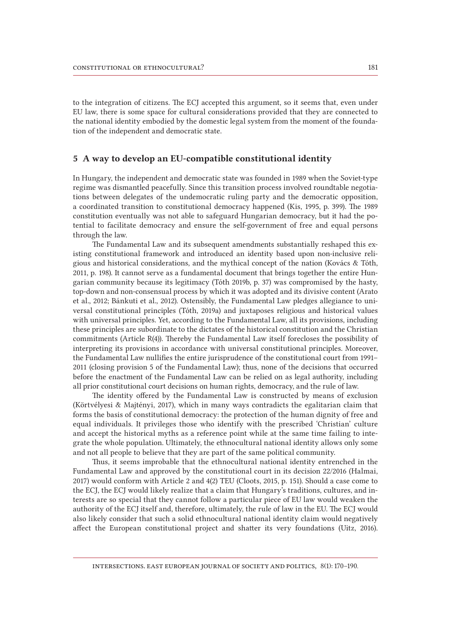to the integration of citizens. The ECJ accepted this argument, so it seems that, even under EU law, there is some space for cultural considerations provided that they are connected to the national identity embodied by the domestic legal system from the moment of the foundation of the independent and democratic state.

## 5 A way to develop an EU-compatible constitutional identity

In Hungary, the independent and democratic state was founded in 1989 when the Soviet-type regime was dismantled peacefully. Since this transition process involved roundtable negotiations between delegates of the undemocratic ruling party and the democratic opposition, a coordinated transition to constitutional democracy happened (Kis, 1995, p. 399). The 1989 constitution eventually was not able to safeguard Hungarian democracy, but it had the potential to facilitate democracy and ensure the self-government of free and equal persons through the law.

The Fundamental Law and its subsequent amendments substantially reshaped this existing constitutional framework and introduced an identity based upon non-inclusive religious and historical considerations, and the mythical concept of the nation (Kovács & Tóth, 2011, p. 198). It cannot serve as a fundamental document that brings together the entire Hungarian community because its legitimacy (Tóth 2019b, p. 37) was compromised by the hasty, top-down and non-consensual process by which it was adopted and its divisive content (Arato et al., 2012; Bánkuti et al., 2012). Ostensibly, the Fundamental Law pledges allegiance to universal constitutional principles (Tóth, 2019a) and juxtaposes religious and historical values with universal principles. Yet, according to the Fundamental Law, all its provisions, including these principles are subordinate to the dictates of the historical constitution and the Christian commitments (Article R(4)). Thereby the Fundamental Law itself forecloses the possibility of interpreting its provisions in accordance with universal constitutional principles. Moreover, the Fundamental Law nullifies the entire jurisprudence of the constitutional court from 1991– 2011 (closing provision 5 of the Fundamental Law); thus, none of the decisions that occurred before the enactment of the Fundamental Law can be relied on as legal authority, including all prior constitutional court decisions on human rights, democracy, and the rule of law.

The identity offered by the Fundamental Law is constructed by means of exclusion (Körtvélyesi & Majtényi, 2017), which in many ways contradicts the egalitarian claim that forms the basis of constitutional democracy: the protection of the human dignity of free and equal individuals. It privileges those who identify with the prescribed 'Christian' culture and accept the historical myths as a reference point while at the same time failing to integrate the whole population. Ultimately, the ethnocultural national identity allows only some and not all people to believe that they are part of the same political community.

Thus, it seems improbable that the ethnocultural national identity entrenched in the Fundamental Law and approved by the constitutional court in its decision 22/2016 (Halmai, 2017) would conform with Article 2 and 4(2) TEU (Cloots, 2015, p. 151). Should a case come to the ECJ, the ECJ would likely realize that a claim that Hungary's traditions, cultures, and interests are so special that they cannot follow a particular piece of EU law would weaken the authority of the ECJ itself and, therefore, ultimately, the rule of law in the EU. The ECJ would also likely consider that such a solid ethnocultural national identity claim would negatively affect the European constitutional project and shatter its very foundations (Uitz, 2016).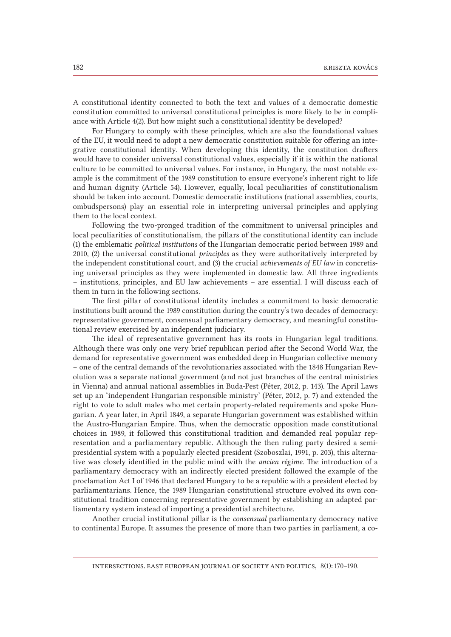A constitutional identity connected to both the text and values of a democratic domestic constitution committed to universal constitutional principles is more likely to be in compliance with Article 4(2). But how might such a constitutional identity be developed?

For Hungary to comply with these principles, which are also the foundational values of the EU, it would need to adopt a new democratic constitution suitable for offering an integrative constitutional identity. When developing this identity, the constitution drafters would have to consider universal constitutional values, especially if it is within the national culture to be committed to universal values. For instance, in Hungary, the most notable example is the commitment of the 1989 constitution to ensure everyone's inherent right to life and human dignity (Article 54). However, equally, local peculiarities of constitutionalism should be taken into account. Domestic democratic institutions (national assemblies, courts, ombudspersons) play an essential role in interpreting universal principles and applying them to the local context.

Following the two-pronged tradition of the commitment to universal principles and local peculiarities of constitutionalism, the pillars of the constitutional identity can include (1) the emblematic *political institutions* of the Hungarian democratic period between 1989 and 2010, (2) the universal constitutional *principles* as they were authoritatively interpreted by the independent constitutional court, and (3) the crucial *achievements of EU law* in concretising universal principles as they were implemented in domestic law. All three ingredients – institutions, principles, and EU law achievements – are essential. I will discuss each of them in turn in the following sections.

The first pillar of constitutional identity includes a commitment to basic democratic institutions built around the 1989 constitution during the country's two decades of democracy: representative government, consensual parliamentary democracy, and meaningful constitutional review exercised by an independent judiciary.

The ideal of representative government has its roots in Hungarian legal traditions. Although there was only one very brief republican period after the Second World War, the demand for representative government was embedded deep in Hungarian collective memory – one of the central demands of the revolutionaries associated with the 1848 Hungarian Revolution was a separate national government (and not just branches of the central ministries in Vienna) and annual national assemblies in Buda-Pest (Péter, 2012, p. 143). The April Laws set up an 'independent Hungarian responsible ministry' (Péter, 2012, p. 7) and extended the right to vote to adult males who met certain property-related requirements and spoke Hungarian. A year later, in April 1849, a separate Hungarian government was established within the Austro-Hungarian Empire. Thus, when the democratic opposition made constitutional choices in 1989, it followed this constitutional tradition and demanded real popular representation and a parliamentary republic. Although the then ruling party desired a semi-presidential system with a popularly elected president (Szoboszlai, 1991, p. 203), this alternative was closely identified in the public mind with the *ancien régime*. The introduction of a parliamentary democracy with an indirectly elected president followed the example of the proclamation Act I of 1946 that declared Hungary to be a republic with a president elected by parliamentarians. Hence, the 1989 Hungarian constitutional structure evolved its own constitutional tradition concerning representative government by establishing an adapted parliamentary system instead of importing a presidential architecture.

Another crucial institutional pillar is the *consensual* parliamentary democracy native to continental Europe. It assumes the presence of more than two parties in parliament, a co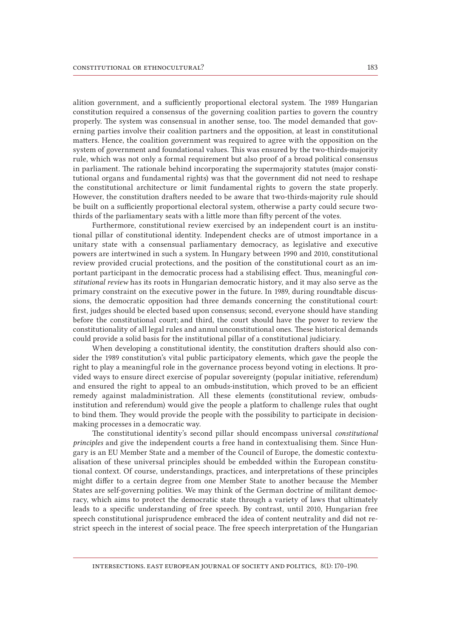alition government, and a sufficiently proportional electoral system. The 1989 Hungarian constitution required a consensus of the governing coalition parties to govern the country properly. The system was consensual in another sense, too. The model demanded that governing parties involve their coalition partners and the opposition, at least in constitutional matters. Hence, the coalition government was required to agree with the opposition on the system of government and foundational values. This was ensured by the two-thirds-majority rule, which was not only a formal requirement but also proof of a broad political consensus in parliament. The rationale behind incorporating the supermajority statutes (major constitutional organs and fundamental rights) was that the government did not need to reshape the constitutional architecture or limit fundamental rights to govern the state properly. However, the constitution drafters needed to be aware that two-thirds-majority rule should be built on a sufficiently proportional electoral system, otherwise a party could secure twothirds of the parliamentary seats with a little more than fifty percent of the votes.

Furthermore, constitutional review exercised by an independent court is an institutional pillar of constitutional identity. Independent checks are of utmost importance in a unitary state with a consensual parliamentary democracy, as legislative and executive powers are intertwined in such a system. In Hungary between 1990 and 2010, constitutional review provided crucial protections, and the position of the constitutional court as an important participant in the democratic process had a stabilising effect. Thus, meaningful *constitutional review* has its roots in Hungarian democratic history, and it may also serve as the primary constraint on the executive power in the future. In 1989, during roundtable discussions, the democratic opposition had three demands concerning the constitutional court: first, judges should be elected based upon consensus; second, everyone should have standing before the constitutional court; and third, the court should have the power to review the constitutionality of all legal rules and annul unconstitutional ones. These historical demands could provide a solid basis for the institutional pillar of a constitutional judiciary.

When developing a constitutional identity, the constitution drafters should also consider the 1989 constitution's vital public participatory elements, which gave the people the right to play a meaningful role in the governance process beyond voting in elections. It provided ways to ensure direct exercise of popular sovereignty (popular initiative, referendum) and ensured the right to appeal to an ombuds-institution, which proved to be an efficient remedy against maladministration. All these elements (constitutional review, ombuds-institution and referendum) would give the people a platform to challenge rules that ought to bind them. They would provide the people with the possibility to participate in decision-making processes in a democratic way.

The constitutional identity's second pillar should encompass universal *constitutional principles* and give the independent courts a free hand in contextualising them. Since Hungary is an EU Member State and a member of the Council of Europe, the domestic contextualisation of these universal principles should be embedded within the European constitutional context. Of course, understandings, practices, and interpretations of these principles might differ to a certain degree from one Member State to another because the Member States are self-governing polities. We may think of the German doctrine of militant democracy, which aims to protect the democratic state through a variety of laws that ultimately leads to a specific understanding of free speech. By contrast, until 2010, Hungarian free speech constitutional jurisprudence embraced the idea of content neutrality and did not restrict speech in the interest of social peace. The free speech interpretation of the Hungarian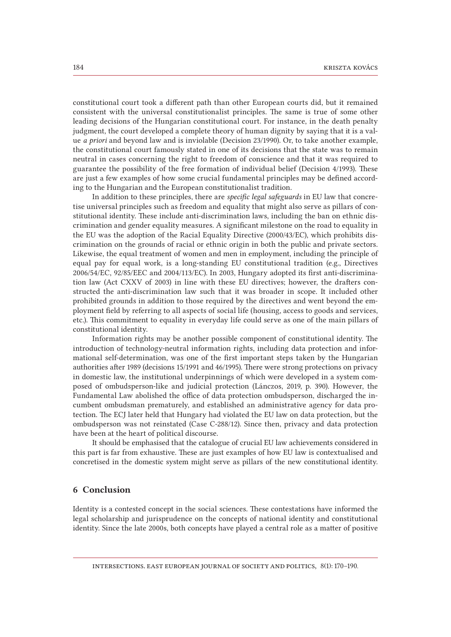constitutional court took a different path than other European courts did, but it remained consistent with the universal constitutionalist principles. The same is true of some other leading decisions of the Hungarian constitutional court. For instance, in the death penalty judgment, the court developed a complete theory of human dignity by saying that it is a value *a priori* and beyond law and is inviolable (Decision 23/1990). Or, to take another example, the constitutional court famously stated in one of its decisions that the state was to remain neutral in cases concerning the right to freedom of conscience and that it was required to guarantee the possibility of the free formation of individual belief (Decision 4/1993). These are just a few examples of how some crucial fundamental principles may be defined according to the Hungarian and the European constitutionalist tradition.

In addition to these principles, there are *specific legal safeguards* in EU law that concretise universal principles such as freedom and equality that might also serve as pillars of constitutional identity. These include anti-discrimination laws, including the ban on ethnic discrimination and gender equality measures. A significant milestone on the road to equality in the EU was the adoption of the Racial Equality Directive (2000/43/EC), which prohibits discrimination on the grounds of racial or ethnic origin in both the public and private sectors. Likewise, the equal treatment of women and men in employment, including the principle of equal pay for equal work, is a long-standing EU constitutional tradition (e.g., Directives 2006/54/EC, 92/85/EEC and 2004/113/EC). In 2003, Hungary adopted its first anti-discrimination law (Act CXXV of 2003) in line with these EU directives; however, the drafters constructed the anti-discrimination law such that it was broader in scope. It included other prohibited grounds in addition to those required by the directives and went beyond the employment field by referring to all aspects of social life (housing, access to goods and services, etc.). This commitment to equality in everyday life could serve as one of the main pillars of constitutional identity.

Information rights may be another possible component of constitutional identity. The introduction of technology-neutral information rights, including data protection and informational self-determination, was one of the first important steps taken by the Hungarian authorities after 1989 (decisions 15/1991 and 46/1995). There were strong protections on privacy in domestic law, the institutional underpinnings of which were developed in a system composed of ombudsperson-like and judicial protection (Lánczos, 2019, p. 390). However, the Fundamental Law abolished the office of data protection ombudsperson, discharged the incumbent ombudsman prematurely, and established an administrative agency for data protection. The ECJ later held that Hungary had violated the EU law on data protection, but the ombudsperson was not reinstated (Case C-288/12). Since then, privacy and data protection have been at the heart of political discourse.

It should be emphasised that the catalogue of crucial EU law achievements considered in this part is far from exhaustive. These are just examples of how EU law is contextualised and concretised in the domestic system might serve as pillars of the new constitutional identity.

## 6 Conclusion

Identity is a contested concept in the social sciences. These contestations have informed the legal scholarship and jurisprudence on the concepts of national identity and constitutional identity. Since the late 2000s, both concepts have played a central role as a matter of positive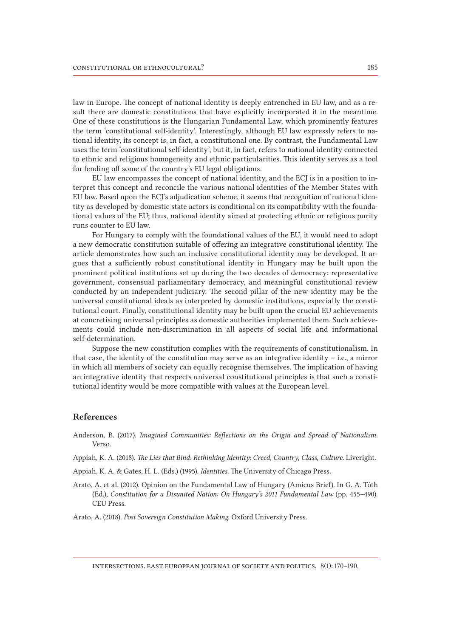law in Europe. The concept of national identity is deeply entrenched in EU law, and as a result there are domestic constitutions that have explicitly incorporated it in the meantime. One of these constitutions is the Hungarian Fundamental Law, which prominently features the term 'constitutional self-identity'. Interestingly, although EU law expressly refers to national identity, its concept is, in fact, a constitutional one. By contrast, the Fundamental Law uses the term 'constitutional self-identity', but it, in fact, refers to national identity connected to ethnic and religious homogeneity and ethnic particularities. This identity serves as a tool for fending off some of the country's EU legal obligations.

EU law encompasses the concept of national identity, and the ECJ is in a position to interpret this concept and reconcile the various national identities of the Member States with EU law. Based upon the ECJ's adjudication scheme, it seems that recognition of national identity as developed by domestic state actors is conditional on its compatibility with the foundational values of the EU; thus, national identity aimed at protecting ethnic or religious purity runs counter to EU law.

For Hungary to comply with the foundational values of the EU, it would need to adopt a new democratic constitution suitable of offering an integrative constitutional identity. The article demonstrates how such an inclusive constitutional identity may be developed. It argues that a sufficiently robust constitutional identity in Hungary may be built upon the prominent political institutions set up during the two decades of democracy: representative government, consensual parliamentary democracy, and meaningful constitutional review conducted by an independent judiciary. The second pillar of the new identity may be the universal constitutional ideals as interpreted by domestic institutions, especially the constitutional court. Finally, constitutional identity may be built upon the crucial EU achievements at concretising universal principles as domestic authorities implemented them. Such achievements could include non-discrimination in all aspects of social life and informational self-determination.

Suppose the new constitution complies with the requirements of constitutionalism. In that case, the identity of the constitution may serve as an integrative identity – i.e., a mirror in which all members of society can equally recognise themselves. The implication of having an integrative identity that respects universal constitutional principles is that such a constitutional identity would be more compatible with values at the European level.

#### References

Anderson, B. (2017). *Imagined Communities: Reflections on the Origin and Spread of Nationalism.*  Verso.

Appiah, K. A. (2018). *The Lies that Bind: Rethinking Identity: Creed, Country, Class, Culture*. Liveright.

Appiah, K. A. & Gates, H. L. (Eds.) (1995). *Identities*. The University of Chicago Press.

Arato, A. et al. (2012). Opinion on the Fundamental Law of Hungary (Amicus Brief). In G. A. Tóth (Ed.), *Constitution for a Disunited Nation: On Hungary's 2011 Fundamental Law* (pp. 455–490)*.* CEU Press.

Arato, A. (2018). *Post Sovereign Constitution Making.* Oxford University Press.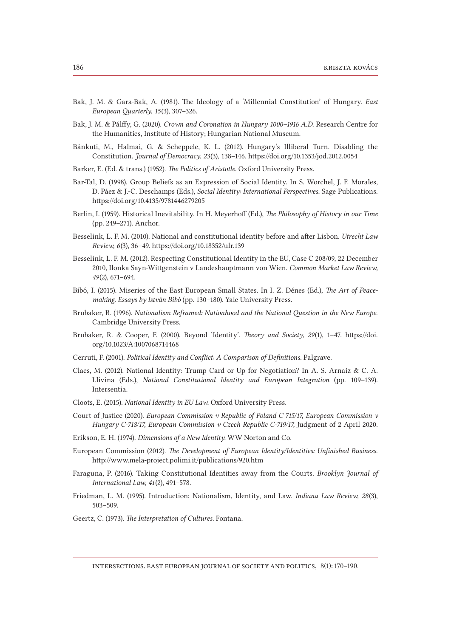- Bak, J. M. & Gara-Bak, A. (1981). The Ideology of a 'Millennial Constitution' of Hungary. *East European Quarterly, 15*(3), 307–326.
- Bak, J. M. & Pálffy, G. (2020). *Crown and Coronation in Hungary 1000–1916 A.D*. Research Centre for the Humanities, Institute of History; Hungarian National Museum.
- Bánkuti, M., Halmai, G. & Scheppele, K. L. (2012). Hungary's Illiberal Turn. Disabling the Constitution. *Journal of Democracy, 23*(3), 138–146. <https://doi.org/10.1353/jod.2012.0054>
- Barker, E. (Ed. & trans.) (1952). *The Politics of Aristotle*. Oxford University Press.
- Bar-Tal, D. (1998). Group Beliefs as an Expression of Social Identity. In S. Worchel, J. F. Morales, D. Páez & J.-C. Deschamps (Eds.), *Social Identity: International Perspectives*. Sage Publications. https://doi.org/10.4135/9781446279205
- Berlin, I. (1959). Historical Inevitability. In H. Meyerhoff (Ed.), *The Philosophy of History in our Time*  (pp. 249–271). Anchor.
- Besselink, L. F. M. (2010). National and constitutional identity before and after Lisbon. *Utrecht Law Review, 6*(3), 36–49. https://doi.org/10.18352/ulr.139
- Besselink, L. F. M. (2012). Respecting Constitutional Identity in the EU, Case C 208/09, 22 December 2010*,* Ilonka Sayn-Wittgenstein v Landeshauptmann von Wien. *Common Market Law Review, 49*(2), 671–694.
- Bibó, I. (2015). Miseries of the East European Small States. In I. Z. Dénes (Ed.), *The Art of Peacemaking. Essays by István Bibó* (pp. 130–180)*.* Yale University Press.
- Brubaker, R. (1996). *Nationalism Reframed: Nationhood and the National Question in the New Europe*. Cambridge University Press.
- Brubaker, R. & Cooper, F. (2000). Beyond 'Identity'. *Theory and Society, 29*(1), 1–47. [https://doi.](https://doi.org/10.1023/A:1007068714468) [org/10.1023/A:1007068714468](https://doi.org/10.1023/A:1007068714468)
- Cerruti, F. (2001). *Political Identity and Conflict: A Comparison of Definitions.* Palgrave.
- Claes, M. (2012). National Identity: Trump Card or Up for Negotiation? In A. S. Arnaiz & C. A. Llivina (Eds.), *National Constitutional Identity and European Integration* (pp. 109–139)*.* Intersentia.
- Cloots, E. (2015). *National Identity in EU Law*. Oxford University Press.
- Court of Justice (2020). *European Commission v Republic of Poland C-715/17, European Commission v Hungary C-718/17, European Commission v Czech Republic C-719/17,* Judgment of 2 April 2020.
- Erikson, E. H. (1974). *Dimensions of a New Identity.* WW Norton and Co.
- European Commission (2012). *The Development of European Identity/Identities: Unfinished Business*. http://www.mela-project.polimi.it/publications/920.htm
- Faraguna, P. (2016). Taking Constitutional Identities away from the Courts. *Brooklyn Journal of International Law, 41*(2), 491–578.
- Friedman, L. M. (1995). Introduction: Nationalism, Identity, and Law. *Indiana Law Review, 28*(3), 503–509.
- Geertz, C. (1973). *The Interpretation of Cultures*. Fontana.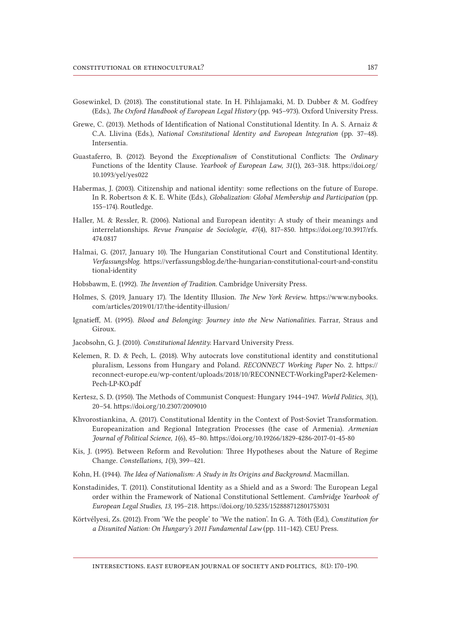- Gosewinkel, D. (2018). The constitutional state. In H. Pihlajamaki, M. D. Dubber & M. Godfrey (Eds.), *The Oxford Handbook of European Legal History* (pp. 945–973). Oxford University Press.
- Grewe, C. (2013). Methods of Identification of National Constitutional Identity. In A. S. Arnaiz & C.A. Llivina (Eds.), *National Constitutional Identity and European Integration* (pp. 37–48)*.* Intersentia.
- Guastaferro, B. (2012). Beyond the *Exceptionalism* of Constitutional Conflicts: The *Ordinary*  Functions of the Identity Clause. *Yearbook of European Law, 31*(1), 263–318. [https://doi.org/](https://doi.org/10.1093/yel/yes022) [10.1093/yel/yes022](https://doi.org/10.1093/yel/yes022)
- Habermas, J. (2003). Citizenship and national identity: some reflections on the future of Europe. In R. Robertson & K. E. White (Eds.), *Globalization: Global Membership and Participation* (pp. 155–174)*.* Routledge.
- Haller, M. & Ressler, R. (2006). National and European identity: A study of their meanings and interrelationships. *Revue Française de Sociologie, 47*(4), 817–850. [https://doi.org/10.3917/rfs.](https://doi.org/10.3917/rfs.474.0817) [474.0817](https://doi.org/10.3917/rfs.474.0817)
- Halmai, G. (2017, January 10). The Hungarian Constitutional Court and Constitutional Identity. *Verfassungsblog*. https://verfassungsblog.de/the-hungarian-constitutional-court-and-constitu tional-identity
- Hobsbawm, E. (1992). *The Invention of Tradition*. Cambridge University Press.
- Holmes, S. (2019, January 17). The Identity Illusion. *The New York Review.* [https://www.nybooks.](https://www.nybooks.com/articles/2019/01/17/the-identity-illusion/) [com/articles/2019/01/17/the-identity-illusion/](https://www.nybooks.com/articles/2019/01/17/the-identity-illusion/)
- Ignatieff, M. (1995). *Blood and Belonging: Journey into the New Nationalities.* Farrar, Straus and Giroux.
- Jacobsohn, G. J. (2010). *Constitutional Identity.* Harvard University Press.
- Kelemen, R. D. & Pech, L. (2018). Why autocrats love constitutional identity and constitutional pluralism, Lessons from Hungary and Poland. *RECONNECT Working Paper* No. 2. https:// reconnect-europe.eu/wp-content/uploads/2018/10/RECONNECT-WorkingPaper2-Kelemen-Pech-LP-KO.pdf
- Kertesz, S. D. (1950). The Methods of Communist Conquest: Hungary 1944–1947. *World Politics, 3*(1), 20–54. https://doi.org/10.2307/2009010
- Khvorostiankina, A. (2017). Constitutional Identity in the Context of Post-Soviet Transformation. Europeanization and Regional Integration Processes (the case of Armenia). *Armenian Journal of Political Science, 1*(6), 45–80. https://doi.org/10.19266/1829-4286-2017-01-45-80
- Kis, J. (1995). Between Reform and Revolution: Three Hypotheses about the Nature of Regime Change. *Constellations, 1*(3), 399–421.
- Kohn, H. (1944). *The Idea of Nationalism: A Study in Its Origins and Background*. Macmillan.
- Konstadinides, T. (2011). Constitutional Identity as a Shield and as a Sword: The European Legal order within the Framework of National Constitutional Settlement. *Cambridge Yearbook of European Legal Studies, 13,* 195–218. https://doi.org/10.5235/152888712801753031
- Körtvélyesi, Zs. (2012). From 'We the people' to 'We the nation'. In G. A. Tóth (Ed.), *Constitution for a Disunited Nation: On Hungary's 2011 Fundamental Law* (pp. 111–142)*.* CEU Press.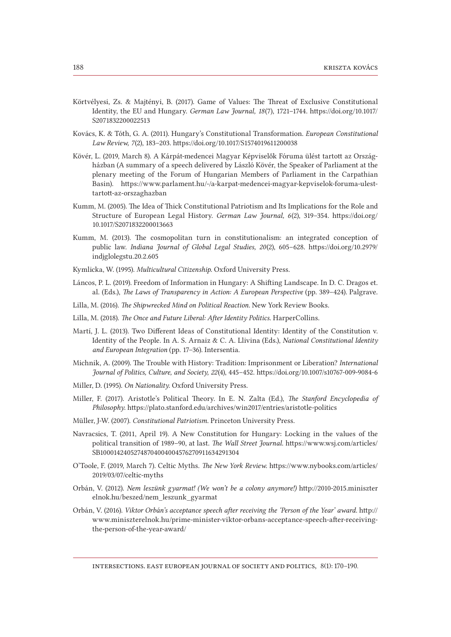- Körtvélyesi, Zs. & Majtényi, B. (2017). Game of Values: The Threat of Exclusive Constitutional Identity, the EU and Hungary. *German Law Journal, 18*(7), 1721–1744. [https://doi.org/10.1017/](https://doi.org/10.1017/S2071832200022513) [S2071832200022513](https://doi.org/10.1017/S2071832200022513)
- Kovács, K. & Tóth, G. A. (2011). Hungary's Constitutional Transformation. *European Constitutional Law Review, 7*(2), 183–203. https://doi.org/10.1017/S1574019611200038
- Kövér, L. (2019, March 8). A Kárpát-medencei Magyar Képviselők Fóruma ülést tartott az Országházban (A summary of a speech delivered by László Kövér, the Speaker of Parliament at the plenary meeting of the Forum of Hungarian Members of Parliament in the Carpathian Basin). https://www.parlament.hu/-/a-karpat-medencei-magyar-kepviselok-foruma-ulesttartott-az-orszaghazban
- Kumm, M. (2005). The Idea of Thick Constitutional Patriotism and Its Implications for the Role and Structure of European Legal History. *German Law Journal, 6*(2), 319–354. [https://doi.org/](https://doi.org/10.1017/S2071832200013663) [10.1017/S2071832200013663](https://doi.org/10.1017/S2071832200013663)
- Kumm, M. (2013). The cosmopolitan turn in constitutionalism: an integrated conception of public law. *Indiana Journal of Global Legal Studies, 20*(2), 605–628. [https://doi.org/10.2979/](https://doi.org/10.2979/indjglolegstu.20.2.605) [indjglolegstu.20.2.605](https://doi.org/10.2979/indjglolegstu.20.2.605)
- Kymlicka, W. (1995). *Multicultural Citizenship*. Oxford University Press.
- Láncos, P. L. (2019). Freedom of Information in Hungary: A Shifting Landscape. In D. C. Dragos et. al. (Eds.), *The Laws of Transparency in Action: A European Perspective* (pp. 389–424)*.* Palgrave.
- Lilla, M. (2016). *The Shipwrecked Mind on Political Reaction.* New York Review Books.
- Lilla, M. (2018). *The Once and Future Liberal: After Identity Politics.* HarperCollins.
- Martí, J. L. (2013). Two Different Ideas of Constitutional Identity: Identity of the Constitution v. Identity of the People. In A. S. Arnaiz & C. A. Llivina (Eds.), *National Constitutional Identity and European Integration* (pp. 17–36)*.* Intersentia.
- Michnik, A. (2009). The Trouble with History: Tradition: Imprisonment or Liberation? *International Journal of Politics, Culture, and Society, 22*(4), 445–452. https://doi.org/10.1007/s10767-009-9084-6
- Miller, D. (1995). *On Nationality*. Oxford University Press.
- Miller, F. (2017). Aristotle's Political Theory. In E. N. Zalta (Ed.), *The Stanford Encyclopedia of Philosophy*. https://plato.stanford.edu/archives/win2017/entries/aristotle-politics
- Müller, J-W. (2007). *Constitutional Patriotism*. Princeton University Press.
- Navracsics, T. (2011, April 19). A New Constitution for Hungary: Locking in the values of the political transition of 1989–90, at last. *The Wall Street Journal*. [https://www.wsj.com/articles/](https://www.wsj.com/articles/SB10001424052748704004004576270911634291304) [SB10001424052748704004004576270911634291304](https://www.wsj.com/articles/SB10001424052748704004004576270911634291304)
- O'Toole, F. (2019, March 7). Celtic Myths. *The New York Review.* [https://www.nybooks.com/articles/](https://www.nybooks.com/articles/2019/03/07/celtic-myths) [2019/03/07/celtic-myths](https://www.nybooks.com/articles/2019/03/07/celtic-myths)
- Orbán, V. (2012). *Nem leszünk gyarmat! (We won't be a colony anymore!)* http://2010-2015.miniszter elnok.hu/beszed/nem\_leszunk\_gyarmat
- Orbán, V. (2016). *Viktor Orbán's acceptance speech after receiving the 'Person of the Year' award.* http:// www.miniszterelnok.hu/prime-minister-viktor-orbans-acceptance-speech-after-receivingthe-person-of-the-year-award/

intersections. east european journal of society and politics, 8(1): 170–190.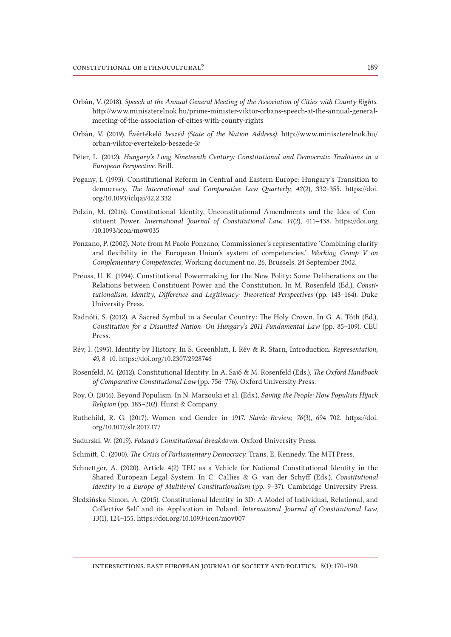- Orbán, V. (2018). *Speech at the Annual General Meeting of the Association of Cities with County Rights*. http://www.miniszterelnok.hu/prime-minister-viktor-orbans-speech-at-the-annual-generalmeeting-of-the-association-of-cities-with-county-rights
- Orbán, V. (2019). Évértékelő *beszéd (State of the Nation Address).* [http://www.miniszterelnok.hu/](http://www.miniszterelnok.hu/orban-viktor-evertekelo-beszede-3/) [orban-viktor-evertekelo-beszede-3/](http://www.miniszterelnok.hu/orban-viktor-evertekelo-beszede-3/)
- Péter, L. (2012). *Hungary's Long Nineteenth Century: Constitutional and Democratic Traditions in a European Perspective*. Brill.
- Pogany, I. (1993). Constitutional Reform in Central and Eastern Europe: Hungary's Transition to democracy. *The International and Comparative Law Quarterly, 42*(2), 332–355. [https://doi.](https://doi.org/10.1093/iclqaj/42.2.332) [org/10.1093/iclqaj/42.2.332](https://doi.org/10.1093/iclqaj/42.2.332)
- Polzin, M. (2016). Constitutional Identity, Unconstitutional Amendments and the Idea of Constituent Power. *International Journal of Constitutional Law, 14*(2), 411–438. [https://doi.org](https://doi.org/10.1093/icon/mow035) [/10.1093/icon/mow035](https://doi.org/10.1093/icon/mow035)
- Ponzano, P. (2002). Note from M Paolo Ponzano, Commissioner's representative 'Combining clarity and flexibility in the European Union's system of competencies.' *Working Group V on Complementary Competencies,* Working document no. 26, Brussels, 24 September 2002.
- Preuss, U. K. (1994). Constitutional Powermaking for the New Polity: Some Deliberations on the Relations between Constituent Power and the Constitution. In M. Rosenfeld (Ed.), *Constitutionalism, Identity, Difference and Legitimacy: Theoretical Perspectives* (pp. 143–164). Duke University Press.
- Radnóti, S. (2012). A Sacred Symbol in a Secular Country: The Holy Crown. In G. A. Tóth (Ed.), *Constitution for a Disunited Nation: On Hungary's 2011 Fundamental Law* (pp. 85–109)*.* CEU Press.
- Rév, I. (1995). Identity by History. In S. Greenblatt, I. Rév & R. Starn, Introduction. *Representation, 49,* 8–10. https://doi.org/10.2307/2928746
- Rosenfeld, M. (2012). Constitutional Identity. In A. Sajó & M. Rosenfeld (Eds.), *The Oxford Handbook of Comparative Constitutional Law* (pp. 756–776)*.* Oxford University Press.
- Roy, O. (2016). Beyond Populism. In N. Marzouki et al. (Eds.), *Saving the People: How Populists Hijack Religion* (pp. 185–202)*.* Hurst & Company.
- Ruthchild, R. G. (2017). Women and Gender in 1917. *Slavic Review, 76*(3), 694–702. [https://doi.](https://doi.org/10.1017/slr.2017.177) [org/10.1017/slr.2017.177](https://doi.org/10.1017/slr.2017.177)
- Sadurski, W. (2019). *Poland's Constitutional Breakdown.* Oxford University Press.
- Schmitt, C. (2000). *The Crisis of Parliamentary Democracy.* Trans. E. Kennedy. The MTI Press.
- Schnettger, A. (2020). Article 4(2) TEU as a Vehicle for National Constitutional Identity in the Shared European Legal System. In C. Callies & G. van der Schyff (Eds.), *Constitutional Identity in a Europe of Multilevel Constitutionalism* (pp. 9–37). Cambridge University Press.
- Śledzińska-Simon, A. (2015). Constitutional Identity in 3D: A Model of Individual, Relational, and Collective Self and its Application in Poland. *International Journal of Constitutional Law, 13*(1), 124–155. https://doi.org/10.1093/icon/mov007